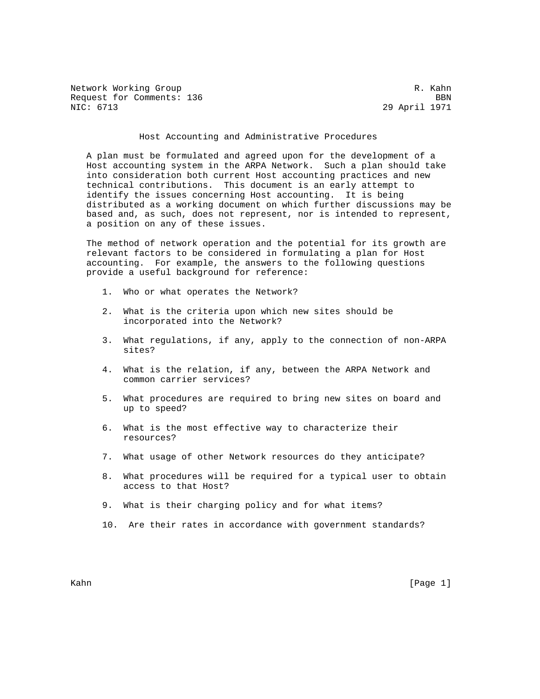Network Working Group and the set of the set of the set of the set of the set of the set of the set of the set of the set of the set of the set of the set of the set of the set of the set of the set of the set of the set o Request for Comments: 136 BBN<br>NIC: 6713 29 April 1971

29 April 1971

## Host Accounting and Administrative Procedures

 A plan must be formulated and agreed upon for the development of a Host accounting system in the ARPA Network. Such a plan should take into consideration both current Host accounting practices and new technical contributions. This document is an early attempt to identify the issues concerning Host accounting. It is being distributed as a working document on which further discussions may be based and, as such, does not represent, nor is intended to represent, a position on any of these issues.

 The method of network operation and the potential for its growth are relevant factors to be considered in formulating a plan for Host accounting. For example, the answers to the following questions provide a useful background for reference:

- 1. Who or what operates the Network?
- 2. What is the criteria upon which new sites should be incorporated into the Network?
- 3. What regulations, if any, apply to the connection of non-ARPA sites?
- 4. What is the relation, if any, between the ARPA Network and common carrier services?
- 5. What procedures are required to bring new sites on board and up to speed?
- 6. What is the most effective way to characterize their resources?
- 7. What usage of other Network resources do they anticipate?
- 8. What procedures will be required for a typical user to obtain access to that Host?
- 9. What is their charging policy and for what items?
- 10. Are their rates in accordance with government standards?

Kahn [Page 1] [Page 1] [Page 1] [Page 1] [Page 1] [Page 1] [Page 1] [Page 1] [Page 1] [Page 1] [Page 1] [Page 1] [Page 1] [Page 1] [Page 1] [Page 1] [Page 1] [Page 1] [Page 1] [Page 1] [Page 1] [Page 1] [Page 1] [Page 1] [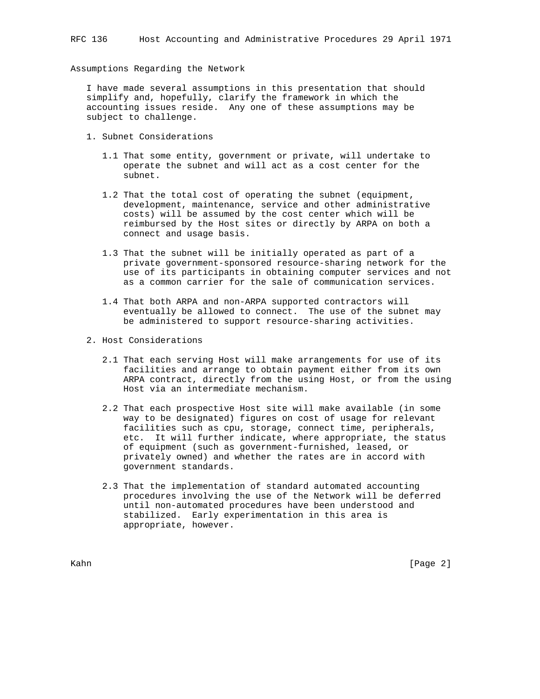Assumptions Regarding the Network

 I have made several assumptions in this presentation that should simplify and, hopefully, clarify the framework in which the accounting issues reside. Any one of these assumptions may be subject to challenge.

- 1. Subnet Considerations
	- 1.1 That some entity, government or private, will undertake to operate the subnet and will act as a cost center for the subnet.
	- 1.2 That the total cost of operating the subnet (equipment, development, maintenance, service and other administrative costs) will be assumed by the cost center which will be reimbursed by the Host sites or directly by ARPA on both a connect and usage basis.
	- 1.3 That the subnet will be initially operated as part of a private government-sponsored resource-sharing network for the use of its participants in obtaining computer services and not as a common carrier for the sale of communication services.
	- 1.4 That both ARPA and non-ARPA supported contractors will eventually be allowed to connect. The use of the subnet may be administered to support resource-sharing activities.
- 2. Host Considerations
	- 2.1 That each serving Host will make arrangements for use of its facilities and arrange to obtain payment either from its own ARPA contract, directly from the using Host, or from the using Host via an intermediate mechanism.
	- 2.2 That each prospective Host site will make available (in some way to be designated) figures on cost of usage for relevant facilities such as cpu, storage, connect time, peripherals, etc. It will further indicate, where appropriate, the status of equipment (such as government-furnished, leased, or privately owned) and whether the rates are in accord with government standards.
	- 2.3 That the implementation of standard automated accounting procedures involving the use of the Network will be deferred until non-automated procedures have been understood and stabilized. Early experimentation in this area is appropriate, however.

Kahn [Page 2]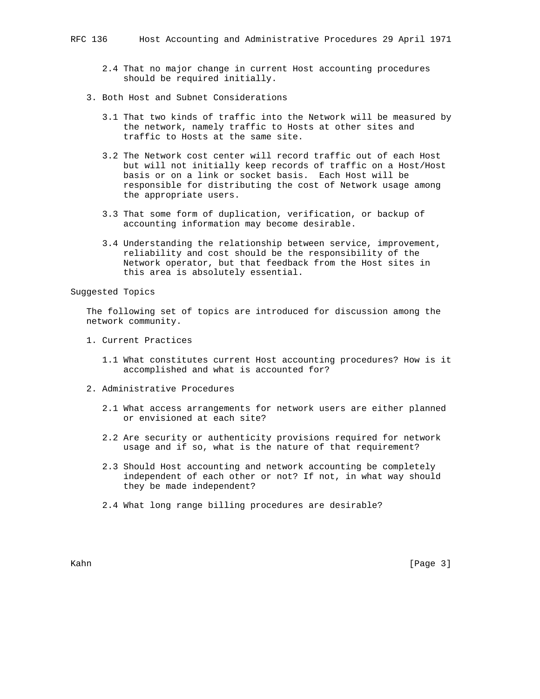- 2.4 That no major change in current Host accounting procedures should be required initially.
- 3. Both Host and Subnet Considerations
	- 3.1 That two kinds of traffic into the Network will be measured by the network, namely traffic to Hosts at other sites and traffic to Hosts at the same site.
	- 3.2 The Network cost center will record traffic out of each Host but will not initially keep records of traffic on a Host/Host basis or on a link or socket basis. Each Host will be responsible for distributing the cost of Network usage among the appropriate users.
	- 3.3 That some form of duplication, verification, or backup of accounting information may become desirable.
	- 3.4 Understanding the relationship between service, improvement, reliability and cost should be the responsibility of the Network operator, but that feedback from the Host sites in this area is absolutely essential.

Suggested Topics

 The following set of topics are introduced for discussion among the network community.

- 1. Current Practices
	- 1.1 What constitutes current Host accounting procedures? How is it accomplished and what is accounted for?
- 2. Administrative Procedures
	- 2.1 What access arrangements for network users are either planned or envisioned at each site?
	- 2.2 Are security or authenticity provisions required for network usage and if so, what is the nature of that requirement?
	- 2.3 Should Host accounting and network accounting be completely independent of each other or not? If not, in what way should they be made independent?
	- 2.4 What long range billing procedures are desirable?

Kahn [Page 3]